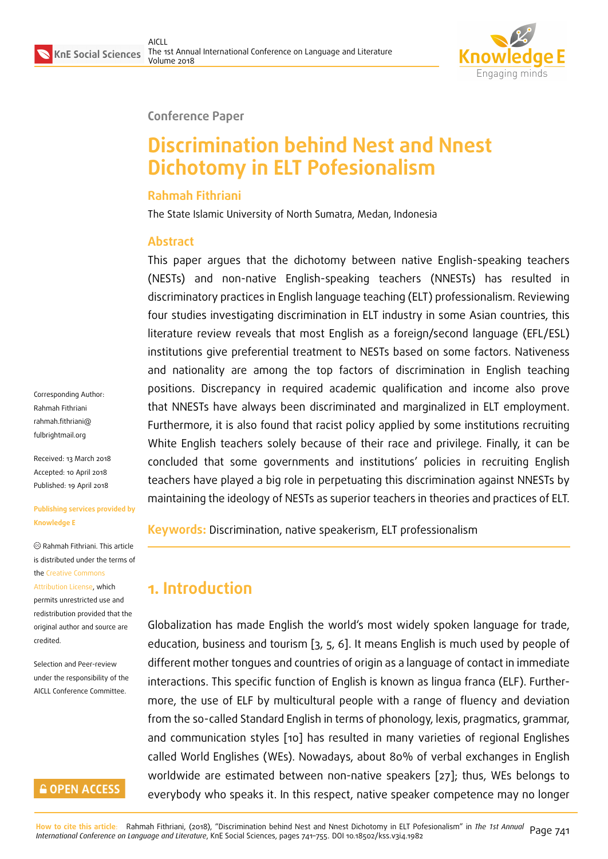

#### **Conference Paper**

# **Discrimination behind Nest and Nnest Dichotomy in ELT Pofesionalism**

#### **Rahmah Fithriani**

The State Islamic University of North Sumatra, Medan, Indonesia

#### **Abstract**

This paper argues that the dichotomy between native English-speaking teachers (NESTs) and non-native English-speaking teachers (NNESTs) has resulted in discriminatory practices in English language teaching (ELT) professionalism. Reviewing four studies investigating discrimination in ELT industry in some Asian countries, this literature review reveals that most English as a foreign/second language (EFL/ESL) institutions give preferential treatment to NESTs based on some factors. Nativeness and nationality are among the top factors of discrimination in English teaching positions. Discrepancy in required academic qualification and income also prove that NNESTs have always been discriminated and marginalized in ELT employment. Furthermore, it is also found that racist policy applied by some institutions recruiting White English teachers solely because of their race and privilege. Finally, it can be concluded that some governments and institutions' policies in recruiting English teachers have played a big role in perpetuating this discrimination against NNESTs by maintaining the ideology of NESTs as superior teachers in theories and practices of ELT.

**Keywords:** Discrimination, native speakerism, ELT professionalism

# **1. Introduction**

Globalization has made English the world's most widely spoken language for trade, education, business and tourism [3, 5, 6]. It means English is much used by people of different mother tongues and countries of origin as a language of contact in immediate interactions. This specific function of English is known as lingua franca (ELF). Furthermore, the use of ELF by multicul[tu](#page-12-0)[ra](#page-12-1)l [p](#page-12-2)eople with a range of fluency and deviation from the so-called Standard English in terms of phonology, lexis, pragmatics, grammar, and communication styles [10] has resulted in many varieties of regional Englishes called World Englishes (WEs). Nowadays, about 80% of verbal exchanges in English worldwide are estimated between non-native speakers [27]; thus, WEs belongs to everybody who speaks it. I[n th](#page-12-3)is respect, native speaker competence may no longer

Corresponding Author: Rahmah Fithriani rahmah.fithriani@ fulbrightmail.org

Received: 13 March 2018 [Accepted: 10 April](mailto:rahmah.fithriani@fulbrightmail.org) 2018 [Published: 19 Ap](mailto:rahmah.fithriani@fulbrightmail.org)ril 2018

**Publishing services provided by Knowledge E**

Rahmah Fithriani. This article is distributed under the terms of the Creative Commons

Attribution License, which permits unrestricted use and redistribution provided that the ori[ginal author and sou](https://creativecommons.org/licenses/by/4.0/)rce are [credited.](https://creativecommons.org/licenses/by/4.0/)

Selection and Peer-review under the responsibility of the AICLL Conference Committee.

### **GOPEN ACCESS**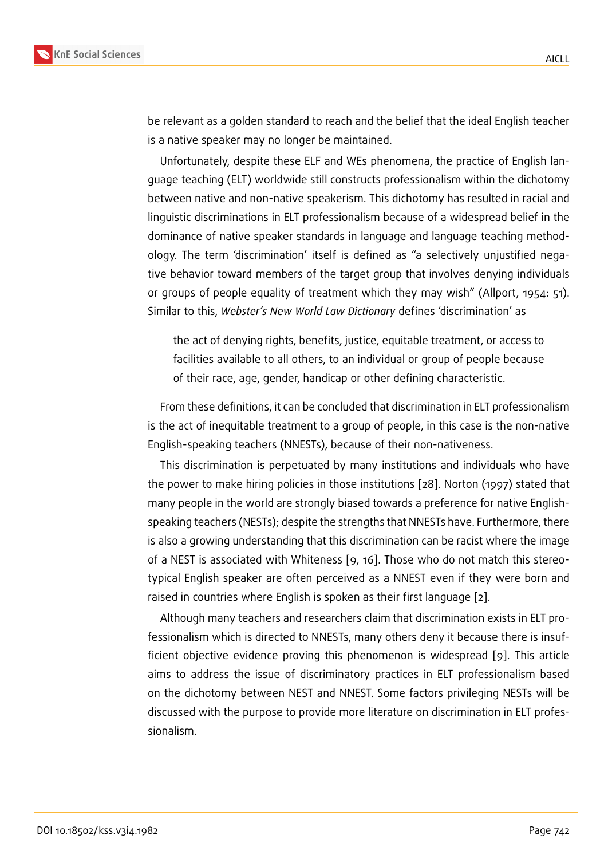be relevant as a golden standard to reach and the belief that the ideal English teacher is a native speaker may no longer be maintained.

Unfortunately, despite these ELF and WEs phenomena, the practice of English language teaching (ELT) worldwide still constructs professionalism within the dichotomy between native and non-native speakerism. This dichotomy has resulted in racial and linguistic discriminations in ELT professionalism because of a widespread belief in the dominance of native speaker standards in language and language teaching methodology. The term 'discrimination' itself is defined as "a selectively unjustified negative behavior toward members of the target group that involves denying individuals or groups of people equality of treatment which they may wish" (Allport, 1954: 51). Similar to this, *Webster's New World Law Dictionary* defines 'discrimination' as

the act of denying rights, benefits, justice, equitable treatment, or access to facilities available to all others, to an individual or group of people because of their race, age, gender, handicap or other defining characteristic.

From these definitions, it can be concluded that discrimination in ELT professionalism is the act of inequitable treatment to a group of people, in this case is the non-native English-speaking teachers (NNESTs), because of their non-nativeness.

This discrimination is perpetuated by many institutions and individuals who have the power to make hiring policies in those institutions [28]. Norton (1997) stated that many people in the world are strongly biased towards a preference for native Englishspeaking teachers (NESTs); despite the strengths that NNESTs have. Furthermore, there is also a growing understanding that this discrimination [can](#page-14-1) be racist where the image of a NEST is associated with Whiteness [9, 16]. Those who do not match this stereotypical English speaker are often perceived as a NNEST even if they were born and raised in countries where English is spoken as their first language [2].

Although many teachers and research[er](#page-12-4)s [cla](#page-13-0)im that discrimination exists in ELT professionalism which is directed to NNESTs, many others deny it because there is insufficient objective evidence proving this phenomenon is widespre[ad](#page-12-5) [9]. This article aims to address the issue of discriminatory practices in ELT professionalism based on the dichotomy between NEST and NNEST. Some factors privileging NESTs will be discussed with the purpose to provide more literature on discriminatio[n](#page-12-4) in ELT professionalism.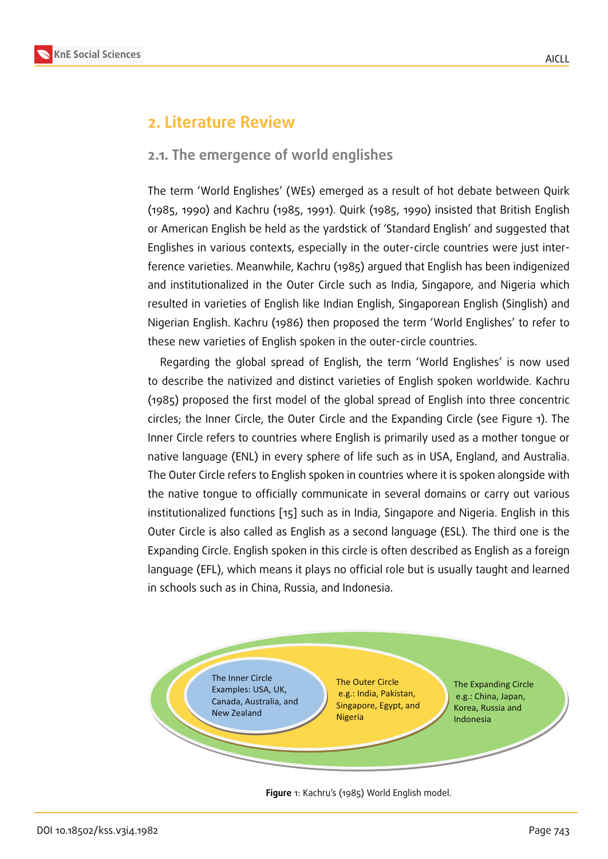## **2. Literature Review**

### **2.1. The emergence of world englishes**

The term 'World Englishes' (WEs) emerged as a result of hot debate between Quirk (1985, 1990) and Kachru (1985, 1991). Quirk (1985, 1990) insisted that British English or American English be held as the yardstick of 'Standard English' and suggested that Englishes in various contexts, especially in the outer-circle countries were just interference varieties. Meanwhile, Kachru (1985) argued that English has been indigenized and institutionalized in the Outer Circle such as India, Singapore, and Nigeria which resulted in varieties of English like Indian English, Singaporean English (Singlish) and Nigerian English. Kachru (1986) then proposed the term 'World Englishes' to refer to these new varieties of English spoken in the outer-circle countries.

Regarding the global spread of English, the term 'World Englishes' is now used to describe the nativized and distinct varieties of English spoken worldwide. Kachru (1985) proposed the first model of the global spread of English into three concentric circles; the Inner Circle, the Outer Circle and the Expanding Circle (see Figure 1). The Inner Circle refers to countries where English is primarily used as a mother tongue or native language (ENL) in every sphere of life such as in USA, England, and Australia. The Outer Circle refers to English spoken in countries where it is spoken alongsi[de](#page-2-0) with the native tongue to officially communicate in several domains or carry out various institutionalized functions [15] such as in India, Singapore and Nigeria. English in this Outer Circle is also called as English as a second language (ESL). The third one is the Expanding Circle. English spoken in this circle is often described as English as a foreign language (EFL), which mea[ns](#page-13-1) it plays no official role but is usually taught and learned in schools such as in China, Russia, and Indonesia.



<span id="page-2-0"></span>**Figure** 1: Kachru's (1985) World English model.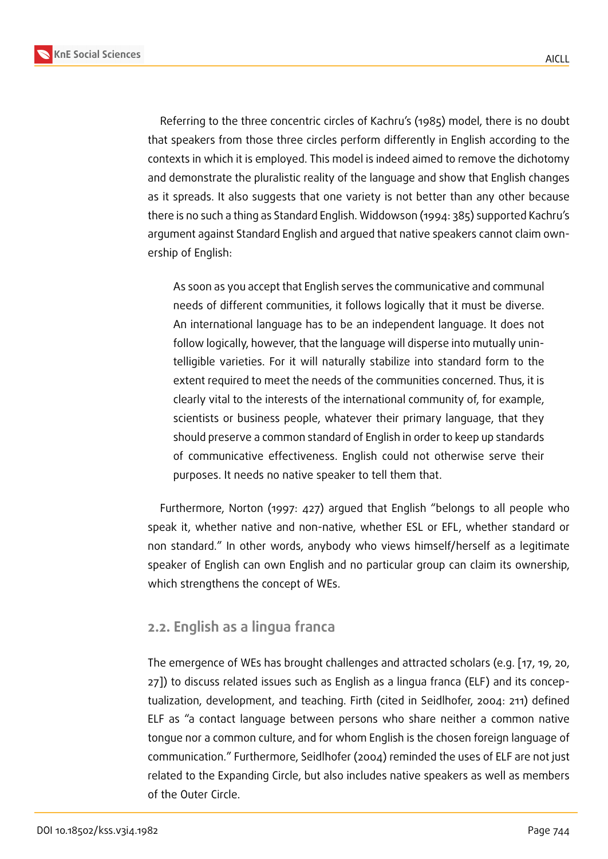Referring to the three concentric circles of Kachru's (1985) model, there is no doubt that speakers from those three circles perform differently in English according to the contexts in which it is employed. This model is indeed aimed to remove the dichotomy and demonstrate the pluralistic reality of the language and show that English changes as it spreads. It also suggests that one variety is not better than any other because there is no such a thing as Standard English. Widdowson (1994: 385) supported Kachru's argument against Standard English and argued that native speakers cannot claim ownership of English:

As soon as you accept that English serves the communicative and communal needs of different communities, it follows logically that it must be diverse. An international language has to be an independent language. It does not follow logically, however, that the language will disperse into mutually unintelligible varieties. For it will naturally stabilize into standard form to the extent required to meet the needs of the communities concerned. Thus, it is clearly vital to the interests of the international community of, for example, scientists or business people, whatever their primary language, that they should preserve a common standard of English in order to keep up standards of communicative effectiveness. English could not otherwise serve their purposes. It needs no native speaker to tell them that.

Furthermore, Norton (1997: 427) argued that English "belongs to all people who speak it, whether native and non-native, whether ESL or EFL, whether standard or non standard." In other words, anybody who views himself/herself as a legitimate speaker of English can own English and no particular group can claim its ownership, which strengthens the concept of WEs.

### **2.2. English as a lingua franca**

The emergence of WEs has brought challenges and attracted scholars (e.g. [17, 19, 20, 27]) to discuss related issues such as English as a lingua franca (ELF) and its conceptualization, development, and teaching. Firth (cited in Seidlhofer, 2004: 211) defined ELF as "a contact language between persons who share neither a com[mon](#page-13-2) [na](#page-13-3)t[ive](#page-13-4) [ton](#page-14-0)gue nor a common culture, and for whom English is the chosen foreign language of communication." Furthermore, Seidlhofer (2004) reminded the uses of ELF are not just related to the Expanding Circle, but also includes native speakers as well as members of the Outer Circle.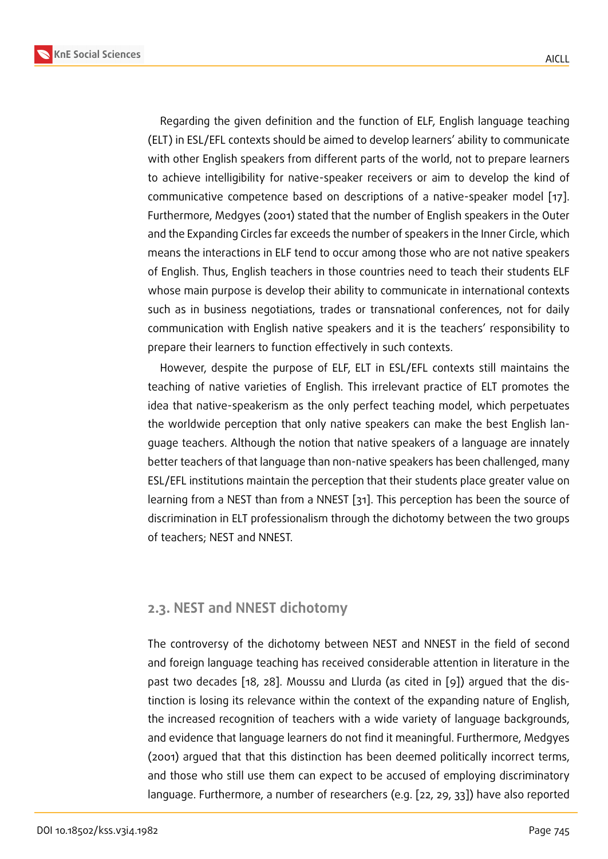Regarding the given definition and the function of ELF, English language teaching (ELT) in ESL/EFL contexts should be aimed to develop learners' ability to communicate with other English speakers from different parts of the world, not to prepare learners to achieve intelligibility for native-speaker receivers or aim to develop the kind of communicative competence based on descriptions of a native-speaker model [17]. Furthermore, Medgyes (2001) stated that the number of English speakers in the Outer and the Expanding Circles far exceeds the number of speakers in the Inner Circle, which means the interactions in ELF tend to occur among those who are not native spea[ker](#page-13-2)s of English. Thus, English teachers in those countries need to teach their students ELF whose main purpose is develop their ability to communicate in international contexts such as in business negotiations, trades or transnational conferences, not for daily communication with English native speakers and it is the teachers' responsibility to prepare their learners to function effectively in such contexts.

However, despite the purpose of ELF, ELT in ESL/EFL contexts still maintains the teaching of native varieties of English. This irrelevant practice of ELT promotes the idea that native-speakerism as the only perfect teaching model, which perpetuates the worldwide perception that only native speakers can make the best English language teachers. Although the notion that native speakers of a language are innately better teachers of that language than non-native speakers has been challenged, many ESL/EFL institutions maintain the perception that their students place greater value on learning from a NEST than from a NNEST [31]. This perception has been the source of discrimination in ELT professionalism through the dichotomy between the two groups of teachers; NEST and NNEST.

### **2.3. NEST and NNEST dichotomy**

The controversy of the dichotomy between NEST and NNEST in the field of second and foreign language teaching has received considerable attention in literature in the past two decades [18, 28]. Moussu and Llurda (as cited in [9]) argued that the distinction is losing its relevance within the context of the expanding nature of English, the increased recognition of teachers with a wide variety of language backgrounds, and evidence that l[ang](#page-13-5)[uag](#page-14-1)e learners do not find it meaningfu[l.](#page-12-4) Furthermore, Medgyes (2001) argued that that this distinction has been deemed politically incorrect terms, and those who still use them can expect to be accused of employing discriminatory language. Furthermore, a number of researchers (e.g. [22, 29, 33]) have also reported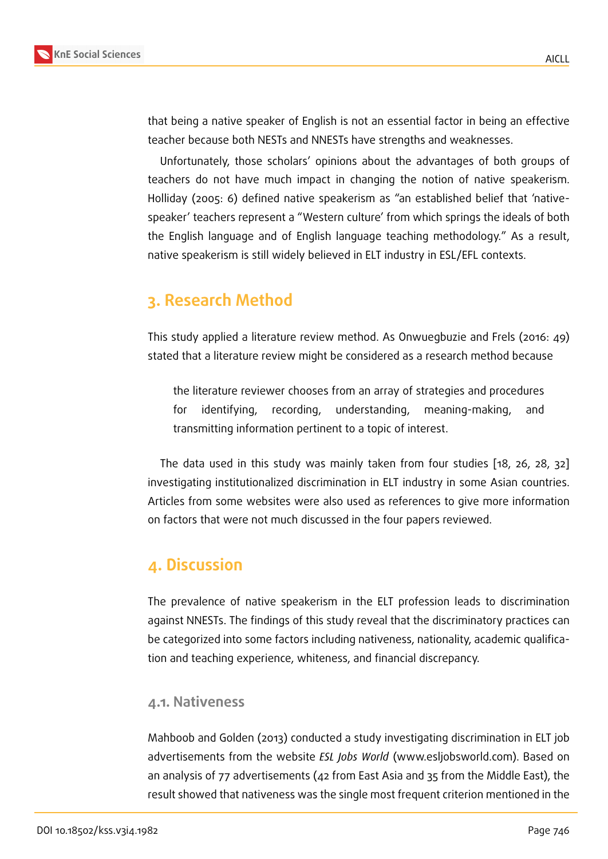that being a native speaker of English is not an essential factor in being an effective teacher because both NESTs and NNESTs have strengths and weaknesses.

Unfortunately, those scholars' opinions about the advantages of both groups of teachers do not have much impact in changing the notion of native speakerism. Holliday (2005: 6) defined native speakerism as "an established belief that 'nativespeaker' teachers represent a "Western culture' from which springs the ideals of both the English language and of English language teaching methodology." As a result, native speakerism is still widely believed in ELT industry in ESL/EFL contexts.

# **3. Research Method**

This study applied a literature review method. As Onwuegbuzie and Frels (2016: 49) stated that a literature review might be considered as a research method because

the literature reviewer chooses from an array of strategies and procedures for identifying, recording, understanding, meaning-making, and transmitting information pertinent to a topic of interest.

The data used in this study was mainly taken from four studies [18, 26, 28, 32] investigating institutionalized discrimination in ELT industry in some Asian countries. Articles from some websites were also used as references to give m[ore](#page-13-5)i[nfo](#page-14-2)[rma](#page-14-1)t[ion](#page-14-3) on factors that were not much discussed in the four papers reviewed.

# **4. Discussion**

The prevalence of native speakerism in the ELT profession leads to discrimination against NNESTs. The findings of this study reveal that the discriminatory practices can be categorized into some factors including nativeness, nationality, academic qualification and teaching experience, whiteness, and financial discrepancy.

#### **4.1. Nativeness**

Mahboob and Golden (2013) conducted a study investigating discrimination in ELT job advertisements from the website *ESL Jobs World* (www.esljobsworld.com). Based on an analysis of 77 advertisements (42 from East Asia and 35 from the Middle East), the result showed that nativeness was the single most frequent criterion mentioned in the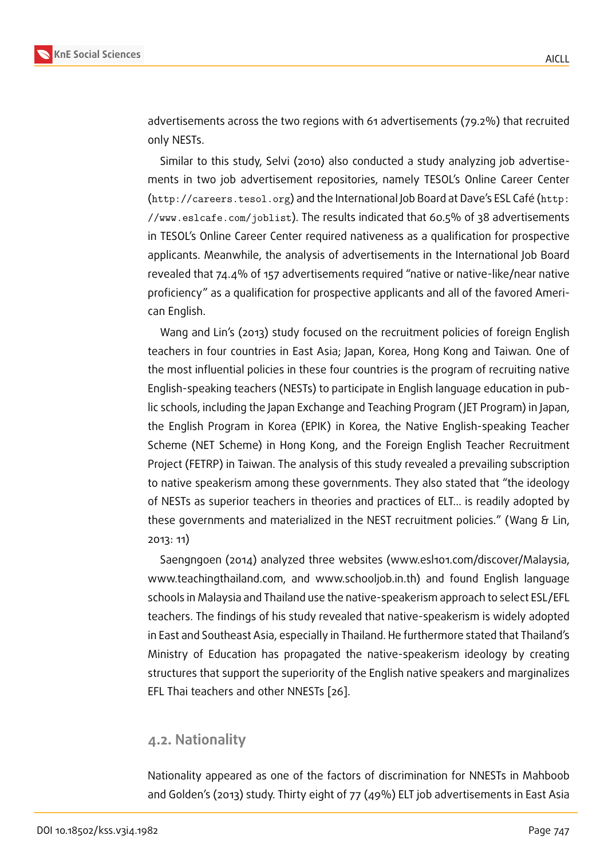advertisements across the two regions with 61 advertisements (79.2%) that recruited only NESTs.

Similar to this study, Selvi (2010) also conducted a study analyzing job advertisements in two job advertisement repositories, namely TESOL's Online Career Center (http://careers.tesol.org) and the International Job Board at Dave's ESL Café (http: //www.eslcafe.com/joblist). The results indicated that 60.5% of 38 advertisements in TESOL's Online Career Center required nativeness as a qualification for prospective [applicants. Meanwhile, the a](http://careers.tesol.org)nalysis of advertisements in the International Job [Board](http://www.eslcafe.com/joblist) [revealed that 74.4% of 157 ad](http://www.eslcafe.com/joblist)vertisements required "native or native-like/near native proficiency" as a qualification for prospective applicants and all of the favored American English.

Wang and Lin's (2013) study focused on the recruitment policies of foreign English teachers in four countries in East Asia; Japan, Korea, Hong Kong and Taiwan*.* One of the most influential policies in these four countries is the program of recruiting native English-speaking teachers (NESTs) to participate in English language education in public schools, including the Japan Exchange and Teaching Program ( JET Program) in Japan, the English Program in Korea (EPIK) in Korea, the Native English-speaking Teacher Scheme (NET Scheme) in Hong Kong, and the Foreign English Teacher Recruitment Project (FETRP) in Taiwan. The analysis of this study revealed a prevailing subscription to native speakerism among these governments. They also stated that "the ideology of NESTs as superior teachers in theories and practices of ELT… is readily adopted by these governments and materialized in the NEST recruitment policies." (Wang & Lin, 2013: 11)

Saengngoen (2014) analyzed three websites (www.esl101.com/discover/Malaysia, www.teachingthailand.com, and www.schooljob.in.th) and found English language schools in Malaysia and Thailand use the native-speakerism approach to select ESL/EFL teachers. The findings of his study revealed that native-speakerism is widely adopted in East and Southeast Asia, especially in Thailand. He furthermore stated that Thailand's Ministry of Education has propagated the native-speakerism ideology by creating structures that support the superiority of the English native speakers and marginalizes EFL Thai teachers and other NNESTs [26].

#### **4.2. Nationality**

Nationality appeared as one of the factors of discrimination for NNESTs in Mahboob and Golden's (2013) study. Thirty eight of 77 (49%) ELT job advertisements in East Asia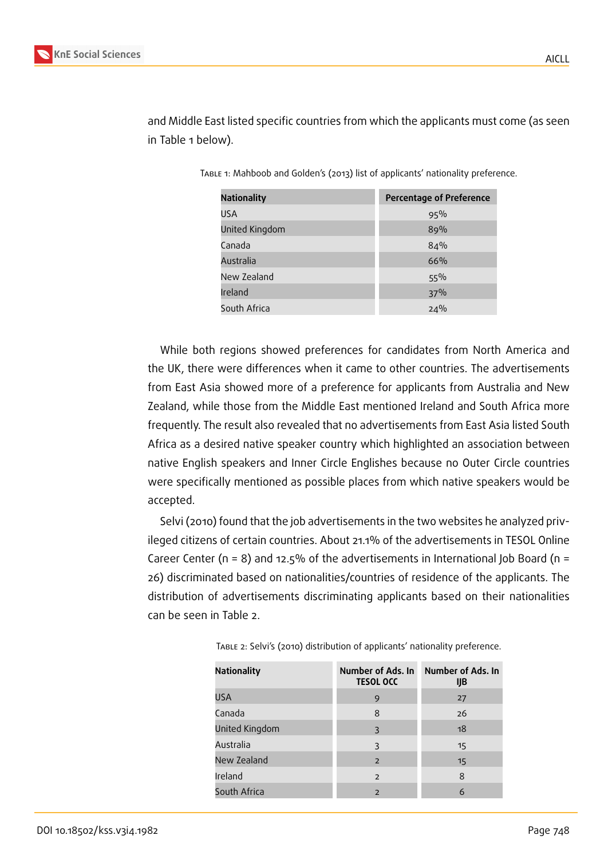| <b>Nationality</b> | <b>Percentage of Preference</b> |
|--------------------|---------------------------------|
| USA                | 95%                             |
| United Kingdom     | 89%                             |
| Canada             | 84%                             |
| Australia          | 66%                             |
| New Zealand        | $55\%$                          |
| Ireland            | 37%                             |
| South Africa       | 24%                             |

and Middle East listed specific countries from which the applicants must come (as seen in Table 1 below).

Table 1: Mahboob and Golden's (2013) list of applicants' nationality preference.

While both regions showed preferences for candidates from North America and the UK, there were differences when it came to other countries. The advertisements from East Asia showed more of a preference for applicants from Australia and New Zealand, while those from the Middle East mentioned Ireland and South Africa more frequently. The result also revealed that no advertisements from East Asia listed South Africa as a desired native speaker country which highlighted an association between native English speakers and Inner Circle Englishes because no Outer Circle countries were specifically mentioned as possible places from which native speakers would be accepted.

Selvi (2010) found that the job advertisements in the two websites he analyzed privileged citizens of certain countries. About 21.1% of the advertisements in TESOL Online Career Center ( $n = 8$ ) and 12.5% of the advertisements in International Job Board ( $n =$ 26) discriminated based on nationalities/countries of residence of the applicants. The distribution of advertisements discriminating applicants based on their nationalities can be seen in Table 2.

| Nationality    | Number of Ads. In<br><b>TESOL OCC</b> | Number of Ads. In<br>IJB |
|----------------|---------------------------------------|--------------------------|
| <b>USA</b>     | 9                                     | 27                       |
| Canada         | 8                                     | 26                       |
| United Kingdom | 3                                     | 18                       |
| Australia      | 3                                     | 15                       |
| New Zealand    | $\overline{2}$                        | 15                       |
| Ireland        | 2                                     | 8                        |
| South Africa   | $\overline{2}$                        | 6                        |

Table 2: Selvi's (2010) distribution of applicants' nationality preference.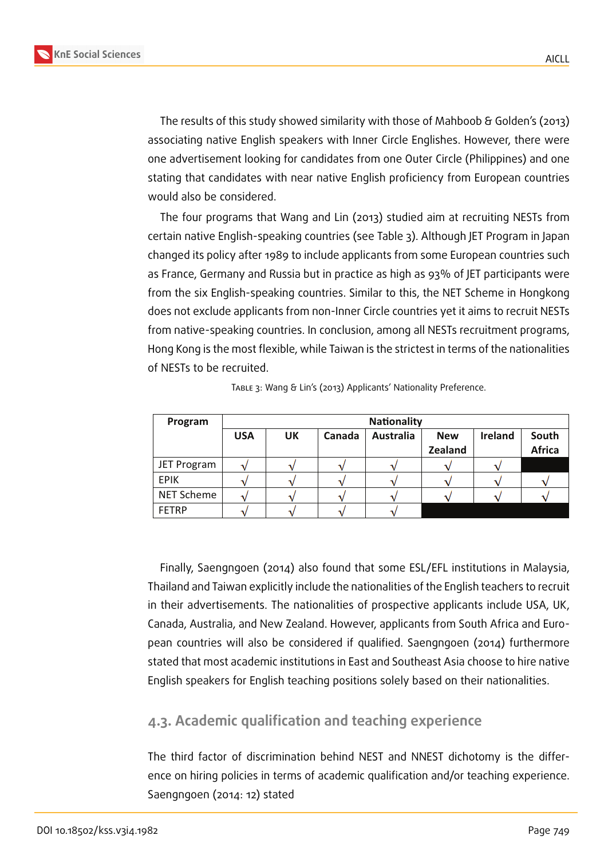**KnE Social Sciences**



The results of this study showed similarity with those of Mahboob & Golden's (2013) associating native English speakers with Inner Circle Englishes. However, there were one advertisement looking for candidates from one Outer Circle (Philippines) and one stating that candidates with near native English proficiency from European countries would also be considered.

The four programs that Wang and Lin (2013) studied aim at recruiting NESTs from certain native English-speaking countries (see Table 3). Although JET Program in Japan changed its policy after 1989 to include applicants from some European countries such as France, Germany and Russia but in practice as high as 93% of JET participants were from the six English-speaking countries. Similar to this, the NET Scheme in Hongkong does not exclude applicants from non-Inner Circle countries yet it aims to recruit NESTs from native-speaking countries. In conclusion, among all NESTs recruitment programs, Hong Kong is the most flexible, while Taiwan is the strictest in terms of the nationalities of NESTs to be recruited.

| Program           | <b>Nationality</b> |    |        |                  |                |                |               |
|-------------------|--------------------|----|--------|------------------|----------------|----------------|---------------|
|                   | <b>USA</b>         | UK | Canada | <b>Australia</b> | <b>New</b>     | <b>Ireland</b> | South         |
|                   |                    |    |        |                  | <b>Zealand</b> |                | <b>Africa</b> |
| JET Program       |                    |    |        |                  |                |                |               |
| <b>EPIK</b>       |                    |    |        |                  |                |                |               |
| <b>NET Scheme</b> |                    |    |        |                  |                |                |               |
| <b>FETRP</b>      |                    |    |        |                  |                |                |               |

Table 3: Wang & Lin's (2013) Applicants' Nationality Preference.

Finally, Saengngoen (2014) also found that some ESL/EFL institutions in Malaysia, Thailand and Taiwan explicitly include the nationalities of the English teachers to recruit in their advertisements. The nationalities of prospective applicants include USA, UK, Canada, Australia, and New Zealand. However, applicants from South Africa and European countries will also be considered if qualified. Saengngoen (2014) furthermore stated that most academic institutions in East and Southeast Asia choose to hire native English speakers for English teaching positions solely based on their nationalities.

### **4.3. Academic qualification and teaching experience**

The third factor of discrimination behind NEST and NNEST dichotomy is the difference on hiring policies in terms of academic qualification and/or teaching experience. Saengngoen (2014: 12) stated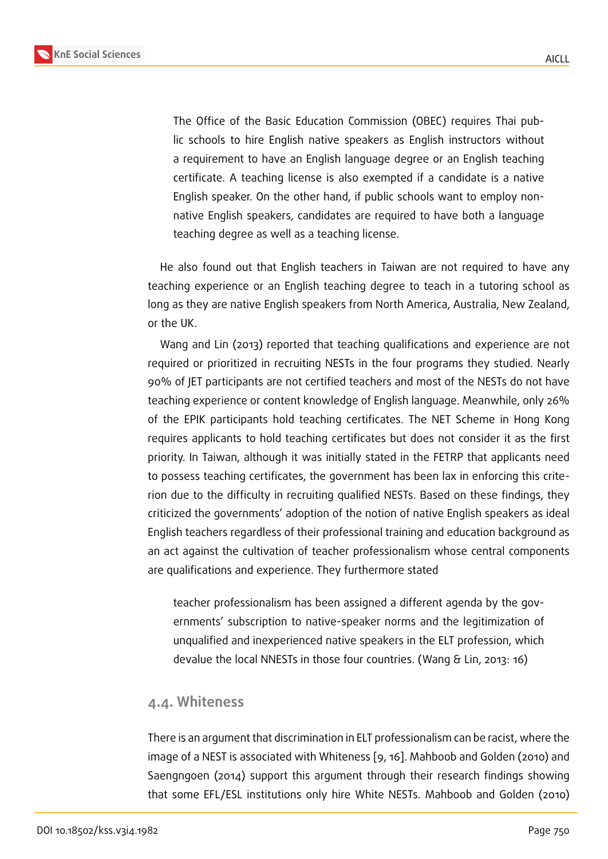The Office of the Basic Education Commission (OBEC) requires Thai public schools to hire English native speakers as English instructors without a requirement to have an English language degree or an English teaching certificate. A teaching license is also exempted if a candidate is a native English speaker. On the other hand, if public schools want to employ nonnative English speakers, candidates are required to have both a language teaching degree as well as a teaching license.

He also found out that English teachers in Taiwan are not required to have any teaching experience or an English teaching degree to teach in a tutoring school as long as they are native English speakers from North America, Australia, New Zealand, or the UK.

Wang and Lin (2013) reported that teaching qualifications and experience are not required or prioritized in recruiting NESTs in the four programs they studied. Nearly 90% of JET participants are not certified teachers and most of the NESTs do not have teaching experience or content knowledge of English language. Meanwhile, only 26% of the EPIK participants hold teaching certificates. The NET Scheme in Hong Kong requires applicants to hold teaching certificates but does not consider it as the first priority. In Taiwan, although it was initially stated in the FETRP that applicants need to possess teaching certificates, the government has been lax in enforcing this criterion due to the difficulty in recruiting qualified NESTs. Based on these findings, they criticized the governments' adoption of the notion of native English speakers as ideal English teachers regardless of their professional training and education background as an act against the cultivation of teacher professionalism whose central components are qualifications and experience. They furthermore stated

teacher professionalism has been assigned a different agenda by the governments' subscription to native-speaker norms and the legitimization of unqualified and inexperienced native speakers in the ELT profession, which devalue the local NNESTs in those four countries. (Wang & Lin, 2013: 16)

#### **4.4. Whiteness**

There is an argument that discrimination in ELT professionalism can be racist, where the image of a NEST is associated with Whiteness [9, 16]. Mahboob and Golden (2010) and Saengngoen (2014) support this argument through their research findings showing that some EFL/ESL institutions only hire Whi[te](#page-12-4) [NE](#page-13-0)STs. Mahboob and Golden (2010)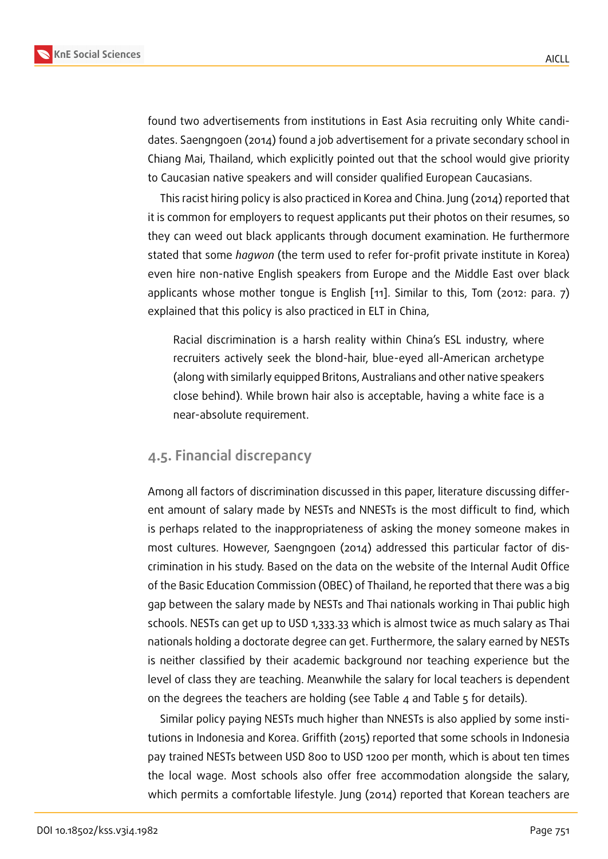found two advertisements from institutions in East Asia recruiting only White candidates. Saengngoen (2014) found a job advertisement for a private secondary school in Chiang Mai, Thailand, which explicitly pointed out that the school would give priority to Caucasian native speakers and will consider qualified European Caucasians.

This racist hiring policy is also practiced in Korea and China. Jung (2014) reported that it is common for employers to request applicants put their photos on their resumes, so they can weed out black applicants through document examination. He furthermore stated that some *hagwon* (the term used to refer for-profit private institute in Korea) even hire non-native English speakers from Europe and the Middle East over black applicants whose mother tongue is English [11]. Similar to this, Tom (2012: para. 7) explained that this policy is also practiced in ELT in China,

Racial discrimination is a harsh reality [wit](#page-13-6)hin China's ESL industry, where recruiters actively seek the blond-hair, blue-eyed all-American archetype (along with similarly equipped Britons, Australians and other native speakers close behind). While brown hair also is acceptable, having a white face is a near-absolute requirement.

### **4.5. Financial discrepancy**

Among all factors of discrimination discussed in this paper, literature discussing different amount of salary made by NESTs and NNESTs is the most difficult to find, which is perhaps related to the inappropriateness of asking the money someone makes in most cultures. However, Saengngoen (2014) addressed this particular factor of discrimination in his study. Based on the data on the website of the Internal Audit Office of the Basic Education Commission (OBEC) of Thailand, he reported that there was a big gap between the salary made by NESTs and Thai nationals working in Thai public high schools. NESTs can get up to USD 1,333.33 which is almost twice as much salary as Thai nationals holding a doctorate degree can get. Furthermore, the salary earned by NESTs is neither classified by their academic background nor teaching experience but the level of class they are teaching. Meanwhile the salary for local teachers is dependent on the degrees the teachers are holding (see Table 4 and Table 5 for details).

Similar policy paying NESTs much higher than NNESTs is also applied by some institutions in Indonesia and Korea. Griffith (2015) reported that some schools in Indonesia pay trained NESTs between USD 800 to USD 1200 per month, which is about ten times the local wage. Most schools also offer free accommodation alongside the salary, which permits a comfortable lifestyle. Jung (2014) reported that Korean teachers are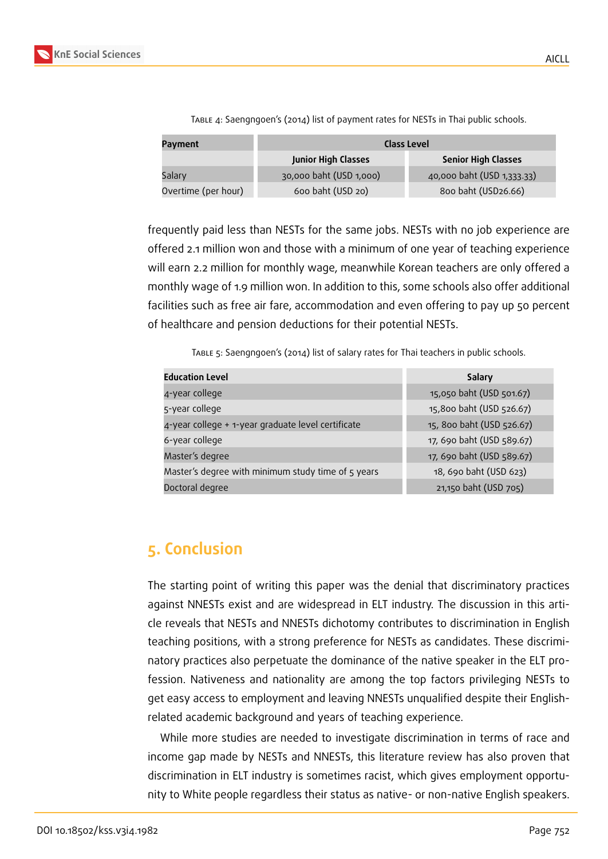

| Payment             | <b>Class Level</b>         |                            |  |
|---------------------|----------------------------|----------------------------|--|
|                     | <b>Junior High Classes</b> | <b>Senior High Classes</b> |  |
| Salary              | 30,000 baht (USD 1,000)    | 40,000 baht (USD 1,333.33) |  |
| Overtime (per hour) | 600 baht (USD 20)          | 800 baht (USD26.66)        |  |

Table 4: Saengngoen's (2014) list of payment rates for NESTs in Thai public schools.

frequently paid less than NESTs for the same jobs. NESTs with no job experience are offered 2.1 million won and those with a minimum of one year of teaching experience will earn 2.2 million for monthly wage, meanwhile Korean teachers are only offered a monthly wage of 1.9 million won. In addition to this, some schools also offer additional facilities such as free air fare, accommodation and even offering to pay up 50 percent of healthcare and pension deductions for their potential NESTs.

Table 5: Saengngoen's (2014) list of salary rates for Thai teachers in public schools.

| <b>Education Level</b>                             | Salary                    |
|----------------------------------------------------|---------------------------|
| 4-year college                                     | 15,050 baht (USD 501.67)  |
| 5-year college                                     | 15,800 baht (USD 526.67)  |
| 4-year college + 1-year graduate level certificate | 15, 800 baht (USD 526.67) |
| 6-year college                                     | 17, 690 baht (USD 589.67) |
| Master's degree                                    | 17, 690 baht (USD 589.67) |
| Master's degree with minimum study time of 5 years | 18, 690 baht (USD 623)    |
| Doctoral degree                                    | 21,150 baht (USD 705)     |

# **5. Conclusion**

The starting point of writing this paper was the denial that discriminatory practices against NNESTs exist and are widespread in ELT industry. The discussion in this article reveals that NESTs and NNESTs dichotomy contributes to discrimination in English teaching positions, with a strong preference for NESTs as candidates. These discriminatory practices also perpetuate the dominance of the native speaker in the ELT profession. Nativeness and nationality are among the top factors privileging NESTs to get easy access to employment and leaving NNESTs unqualified despite their Englishrelated academic background and years of teaching experience.

While more studies are needed to investigate discrimination in terms of race and income gap made by NESTs and NNESTs, this literature review has also proven that discrimination in ELT industry is sometimes racist, which gives employment opportunity to White people regardless their status as native- or non-native English speakers.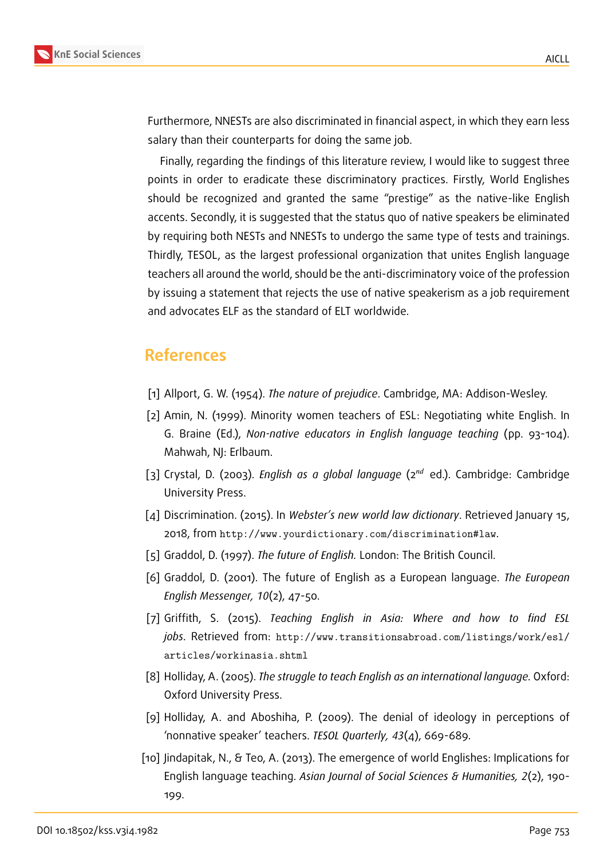Furthermore, NNESTs are also discriminated in financial aspect, in which they earn less salary than their counterparts for doing the same job.

Finally, regarding the findings of this literature review, I would like to suggest three points in order to eradicate these discriminatory practices. Firstly, World Englishes should be recognized and granted the same "prestige" as the native-like English accents. Secondly, it is suggested that the status quo of native speakers be eliminated by requiring both NESTs and NNESTs to undergo the same type of tests and trainings. Thirdly, TESOL, as the largest professional organization that unites English language teachers all around the world, should be the anti-discriminatory voice of the profession by issuing a statement that rejects the use of native speakerism as a job requirement and advocates ELF as the standard of ELT worldwide.

### **References**

- [1] Allport, G. W. (1954). *The nature of prejudice*. Cambridge, MA: Addison-Wesley.
- [2] Amin, N. (1999). Minority women teachers of ESL: Negotiating white English. In G. Braine (Ed.), *Non-native educators in English language teaching* (pp. 93-104). Mahwah, NJ: Erlbaum.
- <span id="page-12-5"></span>[3] Crystal, D. (2003). *English as a global language* (2<sup>nd</sup> ed.). Cambridge: Cambridge University Press.
- <span id="page-12-0"></span>[4] Discrimination. (2015). In *Webster's new world law dictionary*. Retrieved January 15, 2018, from http://www.yourdictionary.com/discrimination#law.
- [5] Graddol, D. (1997). *The future of English.* London: The British Council.
- <span id="page-12-1"></span>[6] Graddol, D[. \(2001\). The future of English as a European language](http://www.yourdictionary.com/discrimination#law). *The European English Messenger, 10*(2), 47-50.
- <span id="page-12-2"></span>[7] Griffith, S. (2015). *Teaching English in Asia: Where and how to find ESL jobs*. Retrieved from: http://www.transitionsabroad.com/listings/work/esl/ articles/workinasia.shtml
- [8] Holliday, A. (2005). *The [struggle to teach English as an international language.](http://www.transitionsabroad.com/listings/work/esl/articles/workinasia.shtml)* Oxford: [Oxford University Press.](http://www.transitionsabroad.com/listings/work/esl/articles/workinasia.shtml)
- [9] Holliday, A. and Aboshiha, P. (2009). The denial of ideology in perceptions of 'nonnative speaker' teachers. *TESOL Quarterly, 43*(4), 669-689.
- <span id="page-12-4"></span><span id="page-12-3"></span>[10] Jindapitak, N., & Teo, A. (2013). The emergence of world Englishes: Implications for English language teaching. *Asian Journal of Social Sciences & Humanities, 2*(2), 190- 199.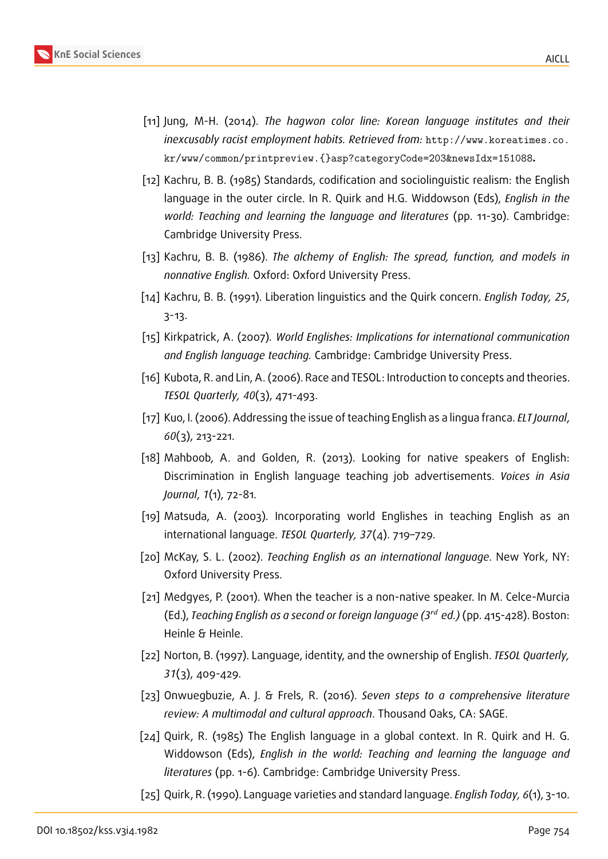- [11] Jung, M-H. (2014). *The hagwon color line: Korean language institutes and their inexcusably racist employment habits. Retrieved from:* http://www.koreatimes.co. kr/www/common/printpreview.{}asp?categoryCode=203&newsIdx=151088**.**
- <span id="page-13-6"></span>[12] Kachru, B. B. (1985) Standards, codification and soci[olinguistic realism: the English](http://www.koreatimes.co.kr/www/common/printpreview.{}asp?categoryCode=203&newsIdx=151088) language in the outer circle. In R. Quirk and H.G. Widdowson (Eds), *English in the [world: Teaching and learning the language and literatures](http://www.koreatimes.co.kr/www/common/printpreview.{}asp?categoryCode=203&newsIdx=151088)* (pp. 11-30). Cambridge: Cambridge University Press.
- [13] Kachru, B. B. (1986). *The alchemy of English: The spread, function, and models in nonnative English.* Oxford: Oxford University Press.
- [14] Kachru, B. B. (1991). Liberation linguistics and the Quirk concern. *English Today, 25*, 3-13.
- [15] Kirkpatrick, A. (2007)*. World Englishes: Implications for international communication and English language teaching.* Cambridge: Cambridge University Press.
- <span id="page-13-1"></span>[16] Kubota, R. and Lin, A. (2006). Race and TESOL: Introduction to concepts and theories. *TESOL Quarterly, 40*(3), 471-493.
- <span id="page-13-0"></span>[17] Kuo, I. (2006). Addressing the issue of teaching English as a lingua franca. *ELT Journal*, *60*(3), 213-221.
- <span id="page-13-2"></span>[18] Mahboob, A. and Golden, R. (2013). Looking for native speakers of English: Discrimination in English language teaching job advertisements. *Voices in Asia Journal*, *1*(1), 72-81.
- <span id="page-13-5"></span>[19] Matsuda, A. (2003). Incorporating world Englishes in teaching English as an international language. *TESOL Quarterly, 37*(4). 719–729.
- <span id="page-13-3"></span>[20] McKay, S. L. (2002). *Teaching English as an international language*. New York, NY: Oxford University Press.
- <span id="page-13-4"></span>[21] Medgyes, P. (2001). When the teacher is a non-native speaker. In M. Celce-Murcia (Ed.), *Teaching English as a second or foreign language (3 ed.)* (pp. 415-428). Boston: Heinle & Heinle.
- [22] Norton, B. (1997). Language, identity, and the ownership of English. *TESOL Quarterly, 31*(3), 409-429.
- [23] Onwuegbuzie, A. J. & Frels, R. (2016). *Seven steps to a comprehensive literature review: A multimodal and cultural approach*. Thousand Oaks, CA: SAGE.
- [24] Quirk, R. (1985) The English language in a global context. In R. Quirk and H. G. Widdowson (Eds), *English in the world: Teaching and learning the language and literatures* (pp. 1-6). Cambridge: Cambridge University Press.
- [25] Quirk, R. (1990). Language varieties and standard language. *English Today, 6*(1), 3-10.